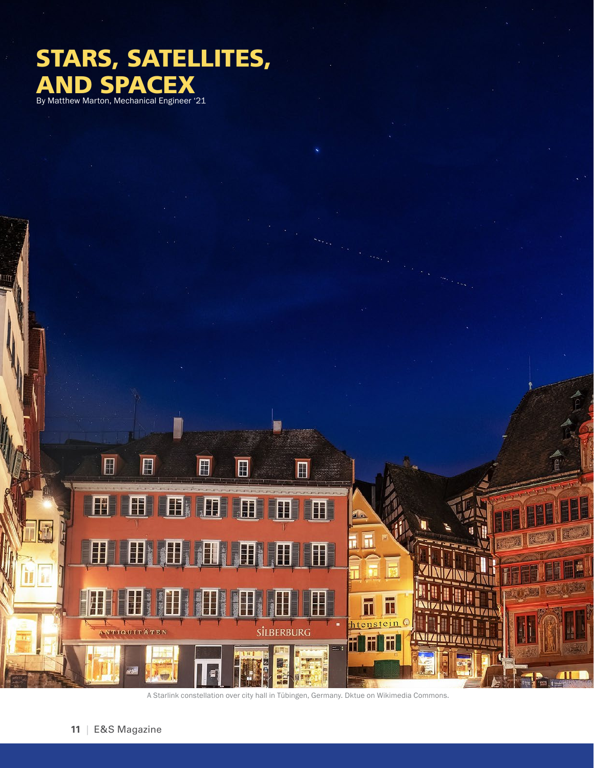## STARS, SATELLITES, AND SPACEX<br>By Matthew Marton, Mechanical Engineer '21



A Starlink constellation over city hall in Tübingen, Germany. Dktue on Wikimedia Commons.